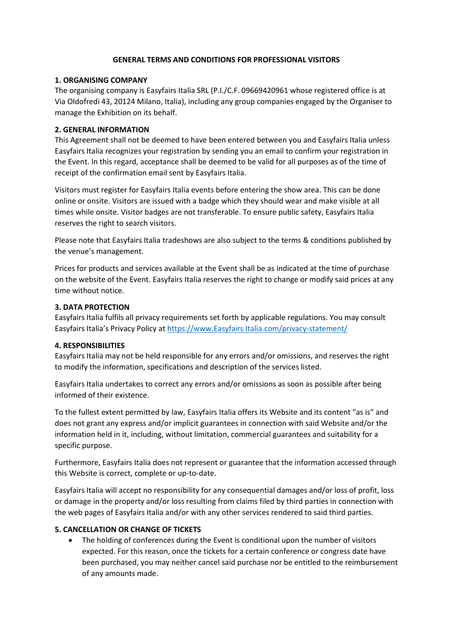#### **GENERAL TERMS AND CONDITIONS FOR PROFESSIONAL VISITORS**

## **1. ORGANISING COMPANY**

The organising company is Easyfairs Italia SRL (P.I./C.F. 09669420961 whose registered office is at Via Oldofredi 43, 20124 Milano, Italia), including any group companies engaged by the Organiser to manage the Exhibition on its behalf.

#### **2. GENERAL INFORMATION**

This Agreement shall not be deemed to have been entered between you and Easyfairs Italia unless Easyfairs Italia recognizes your registration by sending you an email to confirm your registration in the Event. In this regard, acceptance shall be deemed to be valid for all purposes as of the time of receipt of the confirmation email sent by Easyfairs Italia.

Visitors must register for Easyfairs Italia events before entering the show area. This can be done online or onsite. Visitors are issued with a badge which they should wear and make visible at all times while onsite. Visitor badges are not transferable. To ensure public safety, Easyfairs Italia reserves the right to search visitors.

Please note that Easyfairs Italia tradeshows are also subject to the terms & conditions published by the venue's management.

Prices for products and services available at the Event shall be as indicated at the time of purchase on the website of the Event. Easyfairs Italia reserves the right to change or modify said prices at any time without notice.

### **3. DATA PROTECTION**

Easyfairs Italia fulfils all privacy requirements set forth by applicable regulations. You may consult Easyfairs Italia's Privacy Policy at [https://www.Easyfairs Italia.com/privacy-statement/](https://www.easyfairs.com/privacy-statement/)

#### **4. RESPONSIBILITIES**

Easyfairs Italia may not be held responsible for any errors and/or omissions, and reserves the right to modify the information, specifications and description of the services listed.

Easyfairs Italia undertakes to correct any errors and/or omissions as soon as possible after being informed of their existence.

To the fullest extent permitted by law, Easyfairs Italia offers its Website and its content "as is" and does not grant any express and/or implicit guarantees in connection with said Website and/or the information held in it, including, without limitation, commercial guarantees and suitability for a specific purpose.

Furthermore, Easyfairs Italia does not represent or guarantee that the information accessed through this Website is correct, complete or up-to-date.

Easyfairs Italia will accept no responsibility for any consequential damages and/or loss of profit, loss or damage in the property and/or loss resulting from claims filed by third parties in connection with the web pages of Easyfairs Italia and/or with any other services rendered to said third parties.

## **5. CANCELLATION OR CHANGE OF TICKETS**

• The holding of conferences during the Event is conditional upon the number of visitors expected. For this reason, once the tickets for a certain conference or congress date have been purchased, you may neither cancel said purchase nor be entitled to the reimbursement of any amounts made.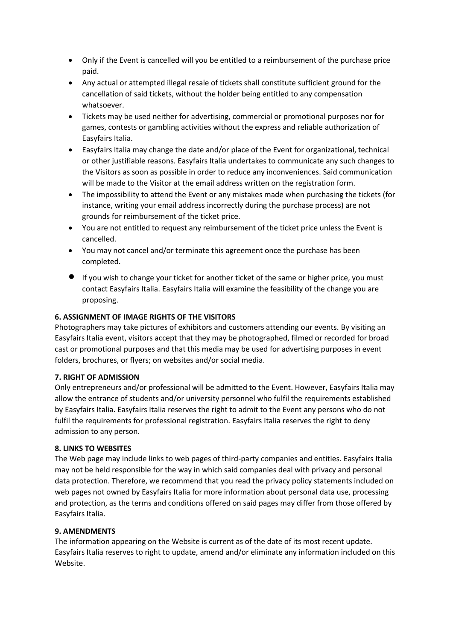- Only if the Event is cancelled will you be entitled to a reimbursement of the purchase price paid.
- Any actual or attempted illegal resale of tickets shall constitute sufficient ground for the cancellation of said tickets, without the holder being entitled to any compensation whatsoever.
- Tickets may be used neither for advertising, commercial or promotional purposes nor for games, contests or gambling activities without the express and reliable authorization of Easyfairs Italia.
- Easyfairs Italia may change the date and/or place of the Event for organizational, technical or other justifiable reasons. Easyfairs Italia undertakes to communicate any such changes to the Visitors as soon as possible in order to reduce any inconveniences. Said communication will be made to the Visitor at the email address written on the registration form.
- The impossibility to attend the Event or any mistakes made when purchasing the tickets (for instance, writing your email address incorrectly during the purchase process) are not grounds for reimbursement of the ticket price.
- You are not entitled to request any reimbursement of the ticket price unless the Event is cancelled.
- You may not cancel and/or terminate this agreement once the purchase has been completed.
- If you wish to change your ticket for another ticket of the same or higher price, you must contact Easyfairs Italia. Easyfairs Italia will examine the feasibility of the change you are proposing.

# **6. ASSIGNMENT OF IMAGE RIGHTS OF THE VISITORS**

Photographers may take pictures of exhibitors and customers attending our events. By visiting an Easyfairs Italia event, visitors accept that they may be photographed, filmed or recorded for broad cast or promotional purposes and that this media may be used for advertising purposes in event folders, brochures, or flyers; on websites and/or social media.

## **7. RIGHT OF ADMISSION**

Only entrepreneurs and/or professional will be admitted to the Event. However, Easyfairs Italia may allow the entrance of students and/or university personnel who fulfil the requirements established by Easyfairs Italia. Easyfairs Italia reserves the right to admit to the Event any persons who do not fulfil the requirements for professional registration. Easyfairs Italia reserves the right to deny admission to any person.

#### **8. LINKS TO WEBSITES**

The Web page may include links to web pages of third-party companies and entities. Easyfairs Italia may not be held responsible for the way in which said companies deal with privacy and personal data protection. Therefore, we recommend that you read the privacy policy statements included on web pages not owned by Easyfairs Italia for more information about personal data use, processing and protection, as the terms and conditions offered on said pages may differ from those offered by Easyfairs Italia.

## **9. AMENDMENTS**

The information appearing on the Website is current as of the date of its most recent update. Easyfairs Italia reserves to right to update, amend and/or eliminate any information included on this Website.